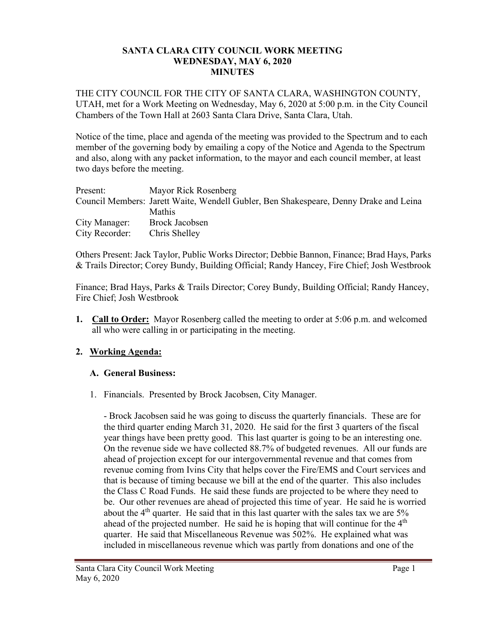#### **SANTA CLARA CITY COUNCIL WORK MEETING WEDNESDAY, MAY 6, 2020 MINUTES**

THE CITY COUNCIL FOR THE CITY OF SANTA CLARA, WASHINGTON COUNTY, UTAH, met for a Work Meeting on Wednesday, May 6, 2020 at 5:00 p.m. in the City Council Chambers of the Town Hall at 2603 Santa Clara Drive, Santa Clara, Utah.

Notice of the time, place and agenda of the meeting was provided to the Spectrum and to each member of the governing body by emailing a copy of the Notice and Agenda to the Spectrum and also, along with any packet information, to the mayor and each council member, at least two days before the meeting.

| Present:       | Mayor Rick Rosenberg                                                                  |
|----------------|---------------------------------------------------------------------------------------|
|                | Council Members: Jarett Waite, Wendell Gubler, Ben Shakespeare, Denny Drake and Leina |
|                | <b>Mathis</b>                                                                         |
| City Manager:  | Brock Jacobsen                                                                        |
| City Recorder: | Chris Shelley                                                                         |

Others Present: Jack Taylor, Public Works Director; Debbie Bannon, Finance; Brad Hays, Parks & Trails Director; Corey Bundy, Building Official; Randy Hancey, Fire Chief; Josh Westbrook

Finance; Brad Hays, Parks & Trails Director; Corey Bundy, Building Official; Randy Hancey, Fire Chief; Josh Westbrook

**1. Call to Order:** Mayor Rosenberg called the meeting to order at 5:06 p.m. and welcomed all who were calling in or participating in the meeting.

# **2. Working Agenda:**

## **A. General Business:**

1. Financials. Presented by Brock Jacobsen, City Manager.

- Brock Jacobsen said he was going to discuss the quarterly financials. These are for the third quarter ending March 31, 2020. He said for the first 3 quarters of the fiscal year things have been pretty good. This last quarter is going to be an interesting one. On the revenue side we have collected 88.7% of budgeted revenues. All our funds are ahead of projection except for our intergovernmental revenue and that comes from revenue coming from Ivins City that helps cover the Fire/EMS and Court services and that is because of timing because we bill at the end of the quarter. This also includes the Class C Road Funds. He said these funds are projected to be where they need to be. Our other revenues are ahead of projected this time of year. He said he is worried about the  $4<sup>th</sup>$  quarter. He said that in this last quarter with the sales tax we are  $5\%$ ahead of the projected number. He said he is hoping that will continue for the  $4<sup>th</sup>$ quarter. He said that Miscellaneous Revenue was 502%. He explained what was included in miscellaneous revenue which was partly from donations and one of the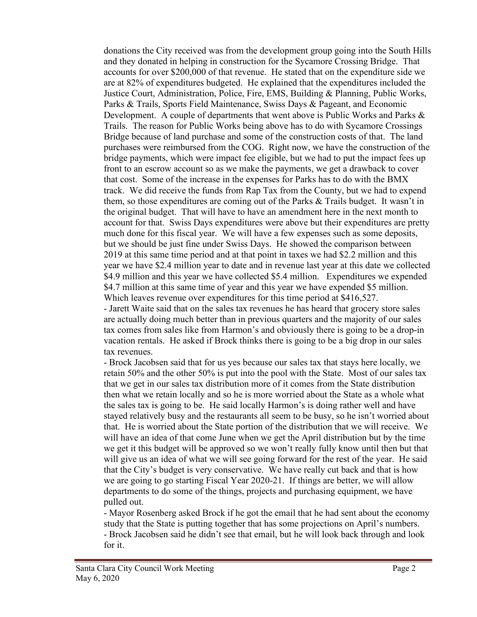donations the City received was from the development group going into the South Hills and they donated in helping in construction for the Sycamore Crossing Bridge. That accounts for over \$200,000 of that revenue. He stated that on the expenditure side we are at 82% of expenditures budgeted. He explained that the expenditures included the Justice Court, Administration, Police, Fire, EMS, Building & Planning, Public Works, Parks & Trails, Sports Field Maintenance, Swiss Days & Pageant, and Economic Development. A couple of departments that went above is Public Works and Parks & Trails. The reason for Public Works being above has to do with Sycamore Crossings Bridge because of land purchase and some of the construction costs of that. The land purchases were reimbursed from the COG. Right now, we have the construction of the bridge payments, which were impact fee eligible, but we had to put the impact fees up front to an escrow account so as we make the payments, we get a drawback to cover that cost. Some of the increase in the expenses for Parks has to do with the BMX track. We did receive the funds from Rap Tax from the County, but we had to expend them, so those expenditures are coming out of the Parks & Trails budget. It wasn't in the original budget. That will have to have an amendment here in the next month to account for that. Swiss Days expenditures were above but their expenditures are pretty much done for this fiscal year. We will have a few expenses such as some deposits, but we should be just fine under Swiss Days. He showed the comparison between 2019 at this same time period and at that point in taxes we had \$2.2 million and this year we have \$2.4 million year to date and in revenue last year at this date we collected \$4.9 million and this year we have collected \$5.4 million. Expenditures we expended \$4.7 million at this same time of year and this year we have expended \$5 million. Which leaves revenue over expenditures for this time period at \$416,527.

- Jarett Waite said that on the sales tax revenues he has heard that grocery store sales are actually doing much better than in previous quarters and the majority of our sales tax comes from sales like from Harmon's and obviously there is going to be a drop-in vacation rentals. He asked if Brock thinks there is going to be a big drop in our sales tax revenues.

- Brock Jacobsen said that for us yes because our sales tax that stays here locally, we retain 50% and the other 50% is put into the pool with the State. Most of our sales tax that we get in our sales tax distribution more of it comes from the State distribution then what we retain locally and so he is more worried about the State as a whole what the sales tax is going to be. He said locally Harmon's is doing rather well and have stayed relatively busy and the restaurants all seem to be busy, so he isn't worried about that. He is worried about the State portion of the distribution that we will receive. We will have an idea of that come June when we get the April distribution but by the time we get it this budget will be approved so we won't really fully know until then but that will give us an idea of what we will see going forward for the rest of the year. He said that the City's budget is very conservative. We have really cut back and that is how we are going to go starting Fiscal Year 2020-21. If things are better, we will allow departments to do some of the things, projects and purchasing equipment, we have pulled out.

- Mayor Rosenberg asked Brock if he got the email that he had sent about the economy study that the State is putting together that has some projections on April's numbers. - Brock Jacobsen said he didn't see that email, but he will look back through and look for it.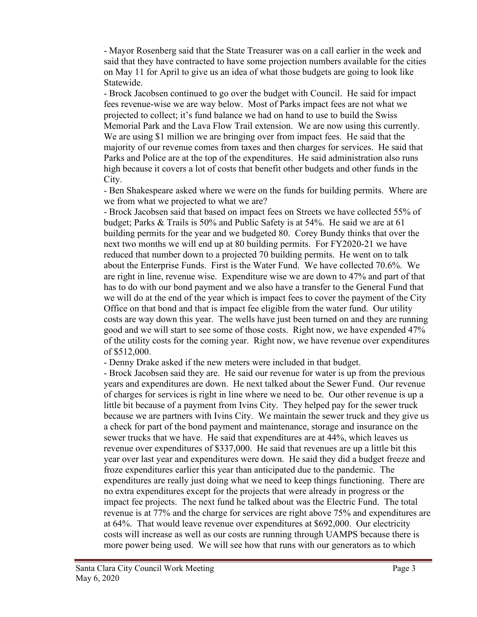- Mayor Rosenberg said that the State Treasurer was on a call earlier in the week and said that they have contracted to have some projection numbers available for the cities on May 11 for April to give us an idea of what those budgets are going to look like Statewide.

- Brock Jacobsen continued to go over the budget with Council. He said for impact fees revenue-wise we are way below. Most of Parks impact fees are not what we projected to collect; it's fund balance we had on hand to use to build the Swiss Memorial Park and the Lava Flow Trail extension. We are now using this currently. We are using \$1 million we are bringing over from impact fees. He said that the majority of our revenue comes from taxes and then charges for services. He said that Parks and Police are at the top of the expenditures. He said administration also runs high because it covers a lot of costs that benefit other budgets and other funds in the City.

- Ben Shakespeare asked where we were on the funds for building permits. Where are we from what we projected to what we are?

- Brock Jacobsen said that based on impact fees on Streets we have collected 55% of budget; Parks & Trails is 50% and Public Safety is at 54%. He said we are at 61 building permits for the year and we budgeted 80. Corey Bundy thinks that over the next two months we will end up at 80 building permits. For FY2020-21 we have reduced that number down to a projected 70 building permits. He went on to talk about the Enterprise Funds. First is the Water Fund. We have collected 70.6%. We are right in line, revenue wise. Expenditure wise we are down to 47% and part of that has to do with our bond payment and we also have a transfer to the General Fund that we will do at the end of the year which is impact fees to cover the payment of the City Office on that bond and that is impact fee eligible from the water fund. Our utility costs are way down this year. The wells have just been turned on and they are running good and we will start to see some of those costs. Right now, we have expended 47% of the utility costs for the coming year. Right now, we have revenue over expenditures of \$512,000.

- Denny Drake asked if the new meters were included in that budget.

- Brock Jacobsen said they are. He said our revenue for water is up from the previous years and expenditures are down. He next talked about the Sewer Fund. Our revenue of charges for services is right in line where we need to be. Our other revenue is up a little bit because of a payment from Ivins City. They helped pay for the sewer truck because we are partners with Ivins City. We maintain the sewer truck and they give us a check for part of the bond payment and maintenance, storage and insurance on the sewer trucks that we have. He said that expenditures are at 44%, which leaves us revenue over expenditures of \$337,000. He said that revenues are up a little bit this year over last year and expenditures were down. He said they did a budget freeze and froze expenditures earlier this year than anticipated due to the pandemic. The expenditures are really just doing what we need to keep things functioning. There are no extra expenditures except for the projects that were already in progress or the impact fee projects. The next fund he talked about was the Electric Fund. The total revenue is at 77% and the charge for services are right above 75% and expenditures are at 64%. That would leave revenue over expenditures at \$692,000. Our electricity costs will increase as well as our costs are running through UAMPS because there is more power being used. We will see how that runs with our generators as to which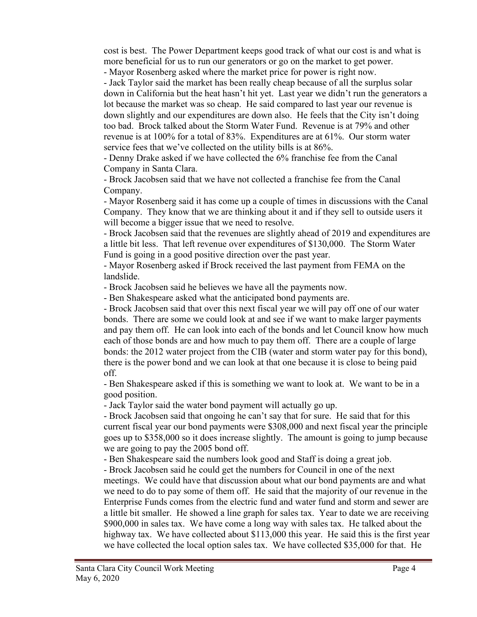cost is best. The Power Department keeps good track of what our cost is and what is more beneficial for us to run our generators or go on the market to get power. - Mayor Rosenberg asked where the market price for power is right now.

- Jack Taylor said the market has been really cheap because of all the surplus solar down in California but the heat hasn't hit yet. Last year we didn't run the generators a lot because the market was so cheap. He said compared to last year our revenue is down slightly and our expenditures are down also. He feels that the City isn't doing too bad. Brock talked about the Storm Water Fund. Revenue is at 79% and other revenue is at 100% for a total of 83%. Expenditures are at 61%. Our storm water service fees that we've collected on the utility bills is at 86%.

- Denny Drake asked if we have collected the 6% franchise fee from the Canal Company in Santa Clara.

- Brock Jacobsen said that we have not collected a franchise fee from the Canal Company.

- Mayor Rosenberg said it has come up a couple of times in discussions with the Canal Company. They know that we are thinking about it and if they sell to outside users it will become a bigger issue that we need to resolve.

- Brock Jacobsen said that the revenues are slightly ahead of 2019 and expenditures are a little bit less. That left revenue over expenditures of \$130,000. The Storm Water Fund is going in a good positive direction over the past year.

- Mayor Rosenberg asked if Brock received the last payment from FEMA on the landslide.

- Brock Jacobsen said he believes we have all the payments now.

- Ben Shakespeare asked what the anticipated bond payments are.

- Brock Jacobsen said that over this next fiscal year we will pay off one of our water bonds. There are some we could look at and see if we want to make larger payments and pay them off. He can look into each of the bonds and let Council know how much each of those bonds are and how much to pay them off. There are a couple of large bonds: the 2012 water project from the CIB (water and storm water pay for this bond), there is the power bond and we can look at that one because it is close to being paid off.

- Ben Shakespeare asked if this is something we want to look at. We want to be in a good position.

- Jack Taylor said the water bond payment will actually go up.

- Brock Jacobsen said that ongoing he can't say that for sure. He said that for this current fiscal year our bond payments were \$308,000 and next fiscal year the principle goes up to \$358,000 so it does increase slightly. The amount is going to jump because we are going to pay the 2005 bond off.

- Ben Shakespeare said the numbers look good and Staff is doing a great job.

- Brock Jacobsen said he could get the numbers for Council in one of the next meetings. We could have that discussion about what our bond payments are and what

we need to do to pay some of them off. He said that the majority of our revenue in the Enterprise Funds comes from the electric fund and water fund and storm and sewer are a little bit smaller. He showed a line graph for sales tax. Year to date we are receiving \$900,000 in sales tax. We have come a long way with sales tax. He talked about the highway tax. We have collected about \$113,000 this year. He said this is the first year we have collected the local option sales tax. We have collected \$35,000 for that. He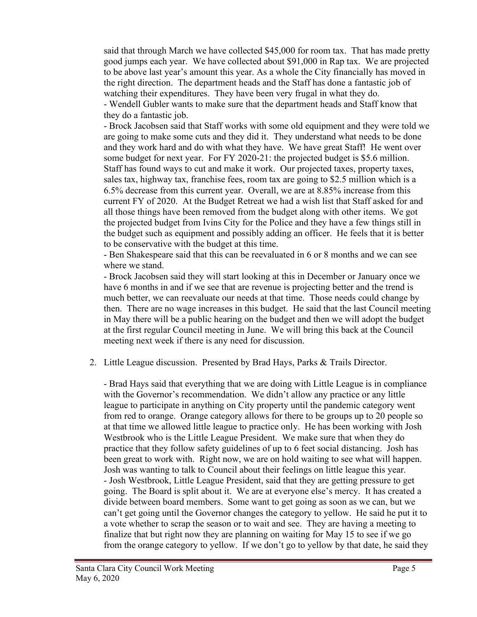said that through March we have collected \$45,000 for room tax. That has made pretty good jumps each year. We have collected about \$91,000 in Rap tax. We are projected to be above last year's amount this year. As a whole the City financially has moved in the right direction. The department heads and the Staff has done a fantastic job of watching their expenditures. They have been very frugal in what they do. - Wendell Gubler wants to make sure that the department heads and Staff know that they do a fantastic job.

- Brock Jacobsen said that Staff works with some old equipment and they were told we are going to make some cuts and they did it. They understand what needs to be done and they work hard and do with what they have. We have great Staff! He went over some budget for next year. For FY 2020-21: the projected budget is \$5.6 million. Staff has found ways to cut and make it work. Our projected taxes, property taxes, sales tax, highway tax, franchise fees, room tax are going to \$2.5 million which is a 6.5% decrease from this current year. Overall, we are at 8.85% increase from this current FY of 2020. At the Budget Retreat we had a wish list that Staff asked for and all those things have been removed from the budget along with other items. We got the projected budget from Ivins City for the Police and they have a few things still in the budget such as equipment and possibly adding an officer. He feels that it is better to be conservative with the budget at this time.

- Ben Shakespeare said that this can be reevaluated in 6 or 8 months and we can see where we stand.

- Brock Jacobsen said they will start looking at this in December or January once we have 6 months in and if we see that are revenue is projecting better and the trend is much better, we can reevaluate our needs at that time. Those needs could change by then. There are no wage increases in this budget. He said that the last Council meeting in May there will be a public hearing on the budget and then we will adopt the budget at the first regular Council meeting in June. We will bring this back at the Council meeting next week if there is any need for discussion.

## 2. Little League discussion. Presented by Brad Hays, Parks & Trails Director.

- Brad Hays said that everything that we are doing with Little League is in compliance with the Governor's recommendation. We didn't allow any practice or any little league to participate in anything on City property until the pandemic category went from red to orange. Orange category allows for there to be groups up to 20 people so at that time we allowed little league to practice only. He has been working with Josh Westbrook who is the Little League President. We make sure that when they do practice that they follow safety guidelines of up to 6 feet social distancing. Josh has been great to work with. Right now, we are on hold waiting to see what will happen. Josh was wanting to talk to Council about their feelings on little league this year. - Josh Westbrook, Little League President, said that they are getting pressure to get going. The Board is split about it. We are at everyone else's mercy. It has created a divide between board members. Some want to get going as soon as we can, but we can't get going until the Governor changes the category to yellow. He said he put it to a vote whether to scrap the season or to wait and see. They are having a meeting to finalize that but right now they are planning on waiting for May 15 to see if we go from the orange category to yellow. If we don't go to yellow by that date, he said they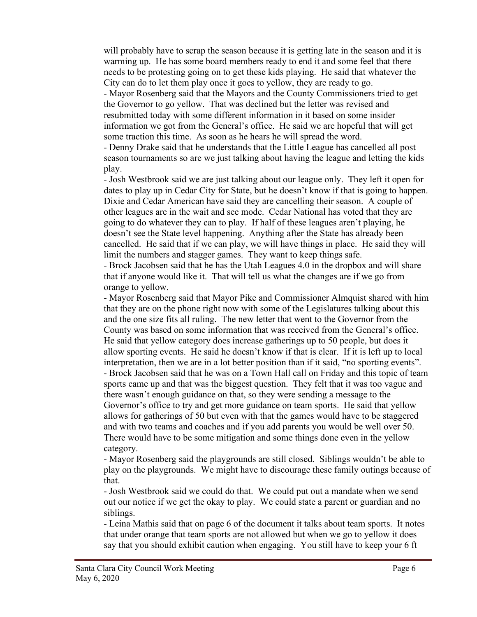will probably have to scrap the season because it is getting late in the season and it is warming up. He has some board members ready to end it and some feel that there needs to be protesting going on to get these kids playing. He said that whatever the City can do to let them play once it goes to yellow, they are ready to go.

- Mayor Rosenberg said that the Mayors and the County Commissioners tried to get the Governor to go yellow. That was declined but the letter was revised and resubmitted today with some different information in it based on some insider information we got from the General's office. He said we are hopeful that will get some traction this time. As soon as he hears he will spread the word.

- Denny Drake said that he understands that the Little League has cancelled all post season tournaments so are we just talking about having the league and letting the kids play.

- Josh Westbrook said we are just talking about our league only. They left it open for dates to play up in Cedar City for State, but he doesn't know if that is going to happen. Dixie and Cedar American have said they are cancelling their season. A couple of other leagues are in the wait and see mode. Cedar National has voted that they are going to do whatever they can to play. If half of these leagues aren't playing, he doesn't see the State level happening. Anything after the State has already been cancelled. He said that if we can play, we will have things in place. He said they will limit the numbers and stagger games. They want to keep things safe.

- Brock Jacobsen said that he has the Utah Leagues 4.0 in the dropbox and will share that if anyone would like it. That will tell us what the changes are if we go from orange to yellow.

- Mayor Rosenberg said that Mayor Pike and Commissioner Almquist shared with him that they are on the phone right now with some of the Legislatures talking about this and the one size fits all ruling. The new letter that went to the Governor from the County was based on some information that was received from the General's office. He said that yellow category does increase gatherings up to 50 people, but does it allow sporting events. He said he doesn't know if that is clear. If it is left up to local interpretation, then we are in a lot better position than if it said, "no sporting events". - Brock Jacobsen said that he was on a Town Hall call on Friday and this topic of team sports came up and that was the biggest question. They felt that it was too vague and there wasn't enough guidance on that, so they were sending a message to the Governor's office to try and get more guidance on team sports. He said that yellow allows for gatherings of 50 but even with that the games would have to be staggered and with two teams and coaches and if you add parents you would be well over 50. There would have to be some mitigation and some things done even in the yellow category.

- Mayor Rosenberg said the playgrounds are still closed. Siblings wouldn't be able to play on the playgrounds. We might have to discourage these family outings because of that.

- Josh Westbrook said we could do that. We could put out a mandate when we send out our notice if we get the okay to play. We could state a parent or guardian and no siblings.

- Leina Mathis said that on page 6 of the document it talks about team sports. It notes that under orange that team sports are not allowed but when we go to yellow it does say that you should exhibit caution when engaging. You still have to keep your 6 ft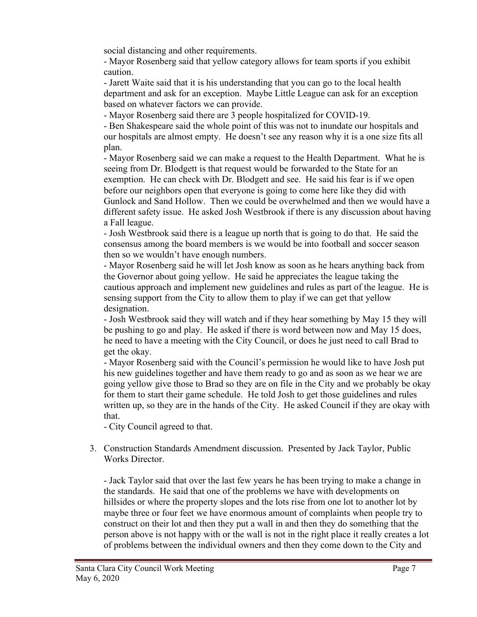social distancing and other requirements.

- Mayor Rosenberg said that yellow category allows for team sports if you exhibit caution.

- Jarett Waite said that it is his understanding that you can go to the local health department and ask for an exception. Maybe Little League can ask for an exception based on whatever factors we can provide.

- Mayor Rosenberg said there are 3 people hospitalized for COVID-19.

- Ben Shakespeare said the whole point of this was not to inundate our hospitals and our hospitals are almost empty. He doesn't see any reason why it is a one size fits all plan.

- Mayor Rosenberg said we can make a request to the Health Department. What he is seeing from Dr. Blodgett is that request would be forwarded to the State for an exemption. He can check with Dr. Blodgett and see. He said his fear is if we open before our neighbors open that everyone is going to come here like they did with Gunlock and Sand Hollow. Then we could be overwhelmed and then we would have a different safety issue. He asked Josh Westbrook if there is any discussion about having a Fall league.

- Josh Westbrook said there is a league up north that is going to do that. He said the consensus among the board members is we would be into football and soccer season then so we wouldn't have enough numbers.

- Mayor Rosenberg said he will let Josh know as soon as he hears anything back from the Governor about going yellow. He said he appreciates the league taking the cautious approach and implement new guidelines and rules as part of the league. He is sensing support from the City to allow them to play if we can get that yellow designation.

- Josh Westbrook said they will watch and if they hear something by May 15 they will be pushing to go and play. He asked if there is word between now and May 15 does, he need to have a meeting with the City Council, or does he just need to call Brad to get the okay.

- Mayor Rosenberg said with the Council's permission he would like to have Josh put his new guidelines together and have them ready to go and as soon as we hear we are going yellow give those to Brad so they are on file in the City and we probably be okay for them to start their game schedule. He told Josh to get those guidelines and rules written up, so they are in the hands of the City. He asked Council if they are okay with that.

- City Council agreed to that.

3. Construction Standards Amendment discussion. Presented by Jack Taylor, Public Works Director.

- Jack Taylor said that over the last few years he has been trying to make a change in the standards. He said that one of the problems we have with developments on hillsides or where the property slopes and the lots rise from one lot to another lot by maybe three or four feet we have enormous amount of complaints when people try to construct on their lot and then they put a wall in and then they do something that the person above is not happy with or the wall is not in the right place it really creates a lot of problems between the individual owners and then they come down to the City and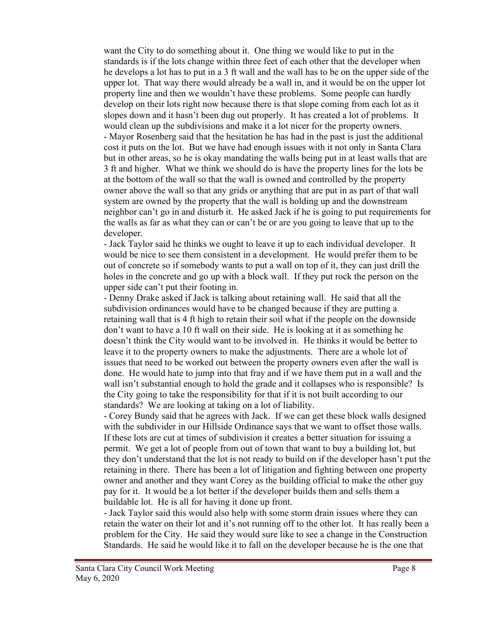want the City to do something about it. One thing we would like to put in the standards is if the lots change within three feet of each other that the developer when he develops a lot has to put in a 3 ft wall and the wall has to be on the upper side of the upper lot. That way there would already be a wall in, and it would be on the upper lot property line and then we wouldn't have these problems. Some people can hardly develop on their lots right now because there is that slope coming from each lot as it slopes down and it hasn't been dug out properly. It has created a lot of problems. It would clean up the subdivisions and make it a lot nicer for the property owners. - Mayor Rosenberg said that the hesitation he has had in the past is just the additional cost it puts on the lot. But we have had enough issues with it not only in Santa Clara but in other areas, so he is okay mandating the walls being put in at least walls that are 3 ft and higher. What we think we should do is have the property lines for the lots be at the bottom of the wall so that the wall is owned and controlled by the property owner above the wall so that any grids or anything that are put in as part of that wall system are owned by the property that the wall is holding up and the downstream neighbor can't go in and disturb it. He asked Jack if he is going to put requirements for the walls as far as what they can or can't be or are you going to leave that up to the developer.

- Jack Taylor said he thinks we ought to leave it up to each individual developer. It would be nice to see them consistent in a development. He would prefer them to be out of concrete so if somebody wants to put a wall on top of it, they can just drill the holes in the concrete and go up with a block wall. If they put rock the person on the upper side can't put their footing in.

- Denny Drake asked if Jack is talking about retaining wall. He said that all the subdivision ordinances would have to be changed because if they are putting a retaining wall that is 4 ft high to retain their soil what if the people on the downside don't want to have a 10 ft wall on their side. He is looking at it as something he doesn't think the City would want to be involved in. He thinks it would be better to leave it to the property owners to make the adjustments. There are a whole lot of issues that need to be worked out between the property owners even after the wall is done. He would hate to jump into that fray and if we have them put in a wall and the wall isn't substantial enough to hold the grade and it collapses who is responsible? Is the City going to take the responsibility for that if it is not built according to our standards? We are looking at taking on a lot of liability.

- Corey Bundy said that he agrees with Jack. If we can get these block walls designed with the subdivider in our Hillside Ordinance says that we want to offset those walls. If these lots are cut at times of subdivision it creates a better situation for issuing a permit. We get a lot of people from out of town that want to buy a building lot, but they don't understand that the lot is not ready to build on if the developer hasn't put the retaining in there. There has been a lot of litigation and fighting between one property owner and another and they want Corey as the building official to make the other guy pay for it. It would be a lot better if the developer builds them and sells them a buildable lot. He is all for having it done up front.

- Jack Taylor said this would also help with some storm drain issues where they can retain the water on their lot and it's not running off to the other lot. It has really been a problem for the City. He said they would sure like to see a change in the Construction Standards. He said he would like it to fall on the developer because he is the one that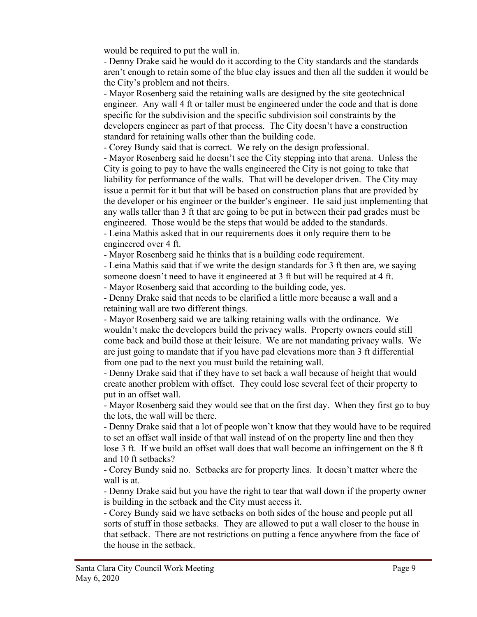would be required to put the wall in.

- Denny Drake said he would do it according to the City standards and the standards aren't enough to retain some of the blue clay issues and then all the sudden it would be the City's problem and not theirs.

- Mayor Rosenberg said the retaining walls are designed by the site geotechnical engineer. Any wall 4 ft or taller must be engineered under the code and that is done specific for the subdivision and the specific subdivision soil constraints by the developers engineer as part of that process. The City doesn't have a construction standard for retaining walls other than the building code.

- Corey Bundy said that is correct. We rely on the design professional.

- Mayor Rosenberg said he doesn't see the City stepping into that arena. Unless the City is going to pay to have the walls engineered the City is not going to take that liability for performance of the walls. That will be developer driven. The City may issue a permit for it but that will be based on construction plans that are provided by the developer or his engineer or the builder's engineer. He said just implementing that any walls taller than 3 ft that are going to be put in between their pad grades must be engineered. Those would be the steps that would be added to the standards. - Leina Mathis asked that in our requirements does it only require them to be

engineered over 4 ft.

- Mayor Rosenberg said he thinks that is a building code requirement.

- Leina Mathis said that if we write the design standards for 3 ft then are, we saying someone doesn't need to have it engineered at 3 ft but will be required at 4 ft.

- Mayor Rosenberg said that according to the building code, yes.

- Denny Drake said that needs to be clarified a little more because a wall and a retaining wall are two different things.

- Mayor Rosenberg said we are talking retaining walls with the ordinance. We wouldn't make the developers build the privacy walls. Property owners could still come back and build those at their leisure. We are not mandating privacy walls. We are just going to mandate that if you have pad elevations more than 3 ft differential from one pad to the next you must build the retaining wall.

- Denny Drake said that if they have to set back a wall because of height that would create another problem with offset. They could lose several feet of their property to put in an offset wall.

- Mayor Rosenberg said they would see that on the first day. When they first go to buy the lots, the wall will be there.

- Denny Drake said that a lot of people won't know that they would have to be required to set an offset wall inside of that wall instead of on the property line and then they lose 3 ft. If we build an offset wall does that wall become an infringement on the 8 ft and 10 ft setbacks?

- Corey Bundy said no. Setbacks are for property lines. It doesn't matter where the wall is at.

- Denny Drake said but you have the right to tear that wall down if the property owner is building in the setback and the City must access it.

- Corey Bundy said we have setbacks on both sides of the house and people put all sorts of stuff in those setbacks. They are allowed to put a wall closer to the house in that setback. There are not restrictions on putting a fence anywhere from the face of the house in the setback.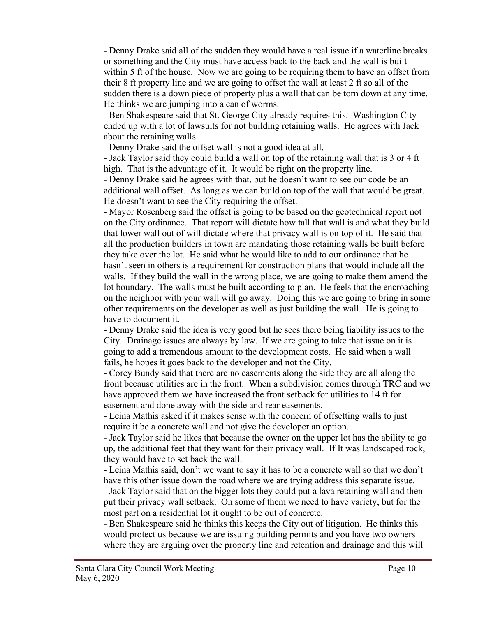- Denny Drake said all of the sudden they would have a real issue if a waterline breaks or something and the City must have access back to the back and the wall is built within 5 ft of the house. Now we are going to be requiring them to have an offset from their 8 ft property line and we are going to offset the wall at least 2 ft so all of the sudden there is a down piece of property plus a wall that can be torn down at any time. He thinks we are jumping into a can of worms.

- Ben Shakespeare said that St. George City already requires this. Washington City ended up with a lot of lawsuits for not building retaining walls. He agrees with Jack about the retaining walls.

- Denny Drake said the offset wall is not a good idea at all.

- Jack Taylor said they could build a wall on top of the retaining wall that is 3 or 4 ft high. That is the advantage of it. It would be right on the property line.

- Denny Drake said he agrees with that, but he doesn't want to see our code be an additional wall offset. As long as we can build on top of the wall that would be great. He doesn't want to see the City requiring the offset.

- Mayor Rosenberg said the offset is going to be based on the geotechnical report not on the City ordinance. That report will dictate how tall that wall is and what they build that lower wall out of will dictate where that privacy wall is on top of it. He said that all the production builders in town are mandating those retaining walls be built before they take over the lot. He said what he would like to add to our ordinance that he hasn't seen in others is a requirement for construction plans that would include all the walls. If they build the wall in the wrong place, we are going to make them amend the lot boundary. The walls must be built according to plan. He feels that the encroaching on the neighbor with your wall will go away. Doing this we are going to bring in some other requirements on the developer as well as just building the wall. He is going to have to document it.

- Denny Drake said the idea is very good but he sees there being liability issues to the City. Drainage issues are always by law. If we are going to take that issue on it is going to add a tremendous amount to the development costs. He said when a wall fails, he hopes it goes back to the developer and not the City.

- Corey Bundy said that there are no easements along the side they are all along the front because utilities are in the front. When a subdivision comes through TRC and we have approved them we have increased the front setback for utilities to 14 ft for easement and done away with the side and rear easements.

- Leina Mathis asked if it makes sense with the concern of offsetting walls to just require it be a concrete wall and not give the developer an option.

- Jack Taylor said he likes that because the owner on the upper lot has the ability to go up, the additional feet that they want for their privacy wall. If It was landscaped rock, they would have to set back the wall.

- Leina Mathis said, don't we want to say it has to be a concrete wall so that we don't have this other issue down the road where we are trying address this separate issue.

- Jack Taylor said that on the bigger lots they could put a lava retaining wall and then put their privacy wall setback. On some of them we need to have variety, but for the most part on a residential lot it ought to be out of concrete.

- Ben Shakespeare said he thinks this keeps the City out of litigation. He thinks this would protect us because we are issuing building permits and you have two owners where they are arguing over the property line and retention and drainage and this will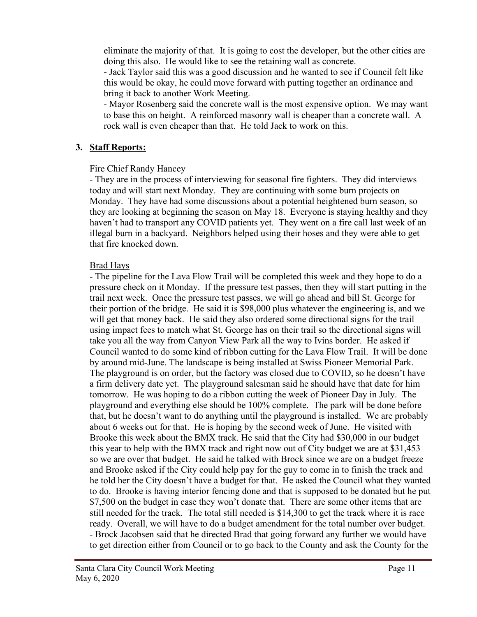eliminate the majority of that. It is going to cost the developer, but the other cities are doing this also. He would like to see the retaining wall as concrete.

- Jack Taylor said this was a good discussion and he wanted to see if Council felt like this would be okay, he could move forward with putting together an ordinance and bring it back to another Work Meeting.

- Mayor Rosenberg said the concrete wall is the most expensive option. We may want to base this on height. A reinforced masonry wall is cheaper than a concrete wall. A rock wall is even cheaper than that. He told Jack to work on this.

## **3. Staff Reports:**

## Fire Chief Randy Hancey

- They are in the process of interviewing for seasonal fire fighters. They did interviews today and will start next Monday. They are continuing with some burn projects on Monday. They have had some discussions about a potential heightened burn season, so they are looking at beginning the season on May 18. Everyone is staying healthy and they haven't had to transport any COVID patients yet. They went on a fire call last week of an illegal burn in a backyard. Neighbors helped using their hoses and they were able to get that fire knocked down.

## Brad Hays

- The pipeline for the Lava Flow Trail will be completed this week and they hope to do a pressure check on it Monday. If the pressure test passes, then they will start putting in the trail next week. Once the pressure test passes, we will go ahead and bill St. George for their portion of the bridge. He said it is \$98,000 plus whatever the engineering is, and we will get that money back. He said they also ordered some directional signs for the trail using impact fees to match what St. George has on their trail so the directional signs will take you all the way from Canyon View Park all the way to Ivins border. He asked if Council wanted to do some kind of ribbon cutting for the Lava Flow Trail. It will be done by around mid-June. The landscape is being installed at Swiss Pioneer Memorial Park. The playground is on order, but the factory was closed due to COVID, so he doesn't have a firm delivery date yet. The playground salesman said he should have that date for him tomorrow. He was hoping to do a ribbon cutting the week of Pioneer Day in July. The playground and everything else should be 100% complete. The park will be done before that, but he doesn't want to do anything until the playground is installed. We are probably about 6 weeks out for that. He is hoping by the second week of June. He visited with Brooke this week about the BMX track. He said that the City had \$30,000 in our budget this year to help with the BMX track and right now out of City budget we are at \$31,453 so we are over that budget. He said he talked with Brock since we are on a budget freeze and Brooke asked if the City could help pay for the guy to come in to finish the track and he told her the City doesn't have a budget for that. He asked the Council what they wanted to do. Brooke is having interior fencing done and that is supposed to be donated but he put \$7,500 on the budget in case they won't donate that. There are some other items that are still needed for the track. The total still needed is \$14,300 to get the track where it is race ready. Overall, we will have to do a budget amendment for the total number over budget. - Brock Jacobsen said that he directed Brad that going forward any further we would have to get direction either from Council or to go back to the County and ask the County for the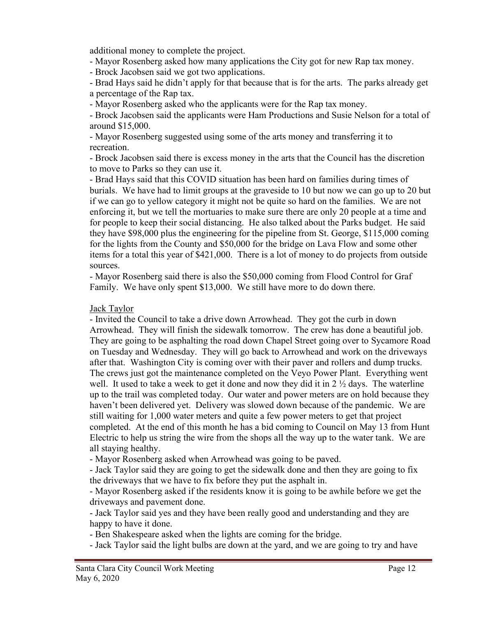additional money to complete the project.

- Mayor Rosenberg asked how many applications the City got for new Rap tax money.

- Brock Jacobsen said we got two applications.

- Brad Hays said he didn't apply for that because that is for the arts. The parks already get a percentage of the Rap tax.

- Mayor Rosenberg asked who the applicants were for the Rap tax money.

- Brock Jacobsen said the applicants were Ham Productions and Susie Nelson for a total of around \$15,000.

- Mayor Rosenberg suggested using some of the arts money and transferring it to recreation.

- Brock Jacobsen said there is excess money in the arts that the Council has the discretion to move to Parks so they can use it.

- Brad Hays said that this COVID situation has been hard on families during times of burials. We have had to limit groups at the graveside to 10 but now we can go up to 20 but if we can go to yellow category it might not be quite so hard on the families. We are not enforcing it, but we tell the mortuaries to make sure there are only 20 people at a time and for people to keep their social distancing. He also talked about the Parks budget. He said they have \$98,000 plus the engineering for the pipeline from St. George, \$115,000 coming for the lights from the County and \$50,000 for the bridge on Lava Flow and some other items for a total this year of \$421,000. There is a lot of money to do projects from outside sources.

- Mayor Rosenberg said there is also the \$50,000 coming from Flood Control for Graf Family. We have only spent \$13,000. We still have more to do down there.

# Jack Taylor

- Invited the Council to take a drive down Arrowhead. They got the curb in down Arrowhead. They will finish the sidewalk tomorrow. The crew has done a beautiful job. They are going to be asphalting the road down Chapel Street going over to Sycamore Road on Tuesday and Wednesday. They will go back to Arrowhead and work on the driveways after that. Washington City is coming over with their paver and rollers and dump trucks. The crews just got the maintenance completed on the Veyo Power Plant. Everything went well. It used to take a week to get it done and now they did it in 2  $\frac{1}{2}$  days. The waterline up to the trail was completed today. Our water and power meters are on hold because they haven't been delivered yet. Delivery was slowed down because of the pandemic. We are still waiting for 1,000 water meters and quite a few power meters to get that project completed. At the end of this month he has a bid coming to Council on May 13 from Hunt Electric to help us string the wire from the shops all the way up to the water tank. We are all staying healthy.

- Mayor Rosenberg asked when Arrowhead was going to be paved.

- Jack Taylor said they are going to get the sidewalk done and then they are going to fix the driveways that we have to fix before they put the asphalt in.

- Mayor Rosenberg asked if the residents know it is going to be awhile before we get the driveways and pavement done.

- Jack Taylor said yes and they have been really good and understanding and they are happy to have it done.

- Ben Shakespeare asked when the lights are coming for the bridge.

- Jack Taylor said the light bulbs are down at the yard, and we are going to try and have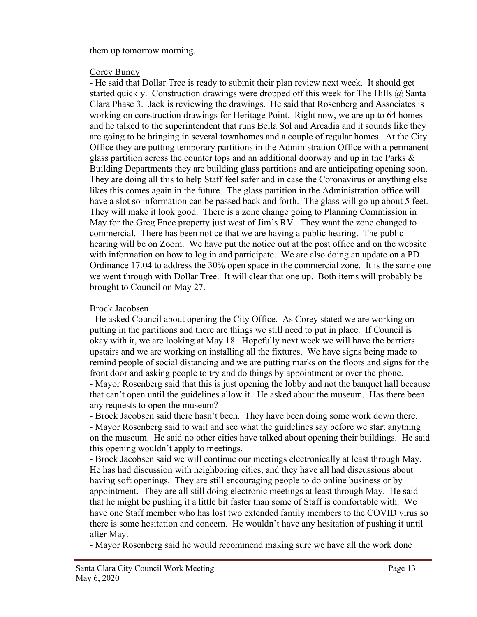them up tomorrow morning.

#### Corey Bundy

- He said that Dollar Tree is ready to submit their plan review next week. It should get started quickly. Construction drawings were dropped off this week for The Hills  $\omega$  Santa Clara Phase 3. Jack is reviewing the drawings. He said that Rosenberg and Associates is working on construction drawings for Heritage Point. Right now, we are up to 64 homes and he talked to the superintendent that runs Bella Sol and Arcadia and it sounds like they are going to be bringing in several townhomes and a couple of regular homes. At the City Office they are putting temporary partitions in the Administration Office with a permanent glass partition across the counter tops and an additional doorway and up in the Parks  $\&$ Building Departments they are building glass partitions and are anticipating opening soon. They are doing all this to help Staff feel safer and in case the Coronavirus or anything else likes this comes again in the future. The glass partition in the Administration office will have a slot so information can be passed back and forth. The glass will go up about 5 feet. They will make it look good. There is a zone change going to Planning Commission in May for the Greg Ence property just west of Jim's RV. They want the zone changed to commercial. There has been notice that we are having a public hearing. The public hearing will be on Zoom. We have put the notice out at the post office and on the website with information on how to log in and participate. We are also doing an update on a PD Ordinance 17.04 to address the 30% open space in the commercial zone. It is the same one we went through with Dollar Tree. It will clear that one up. Both items will probably be brought to Council on May 27.

## Brock Jacobsen

- He asked Council about opening the City Office. As Corey stated we are working on putting in the partitions and there are things we still need to put in place. If Council is okay with it, we are looking at May 18. Hopefully next week we will have the barriers upstairs and we are working on installing all the fixtures. We have signs being made to remind people of social distancing and we are putting marks on the floors and signs for the front door and asking people to try and do things by appointment or over the phone. - Mayor Rosenberg said that this is just opening the lobby and not the banquet hall because that can't open until the guidelines allow it. He asked about the museum. Has there been any requests to open the museum?

- Brock Jacobsen said there hasn't been. They have been doing some work down there.

- Mayor Rosenberg said to wait and see what the guidelines say before we start anything on the museum. He said no other cities have talked about opening their buildings. He said this opening wouldn't apply to meetings.

- Brock Jacobsen said we will continue our meetings electronically at least through May. He has had discussion with neighboring cities, and they have all had discussions about having soft openings. They are still encouraging people to do online business or by appointment. They are all still doing electronic meetings at least through May. He said that he might be pushing it a little bit faster than some of Staff is comfortable with. We have one Staff member who has lost two extended family members to the COVID virus so there is some hesitation and concern. He wouldn't have any hesitation of pushing it until after May.

- Mayor Rosenberg said he would recommend making sure we have all the work done